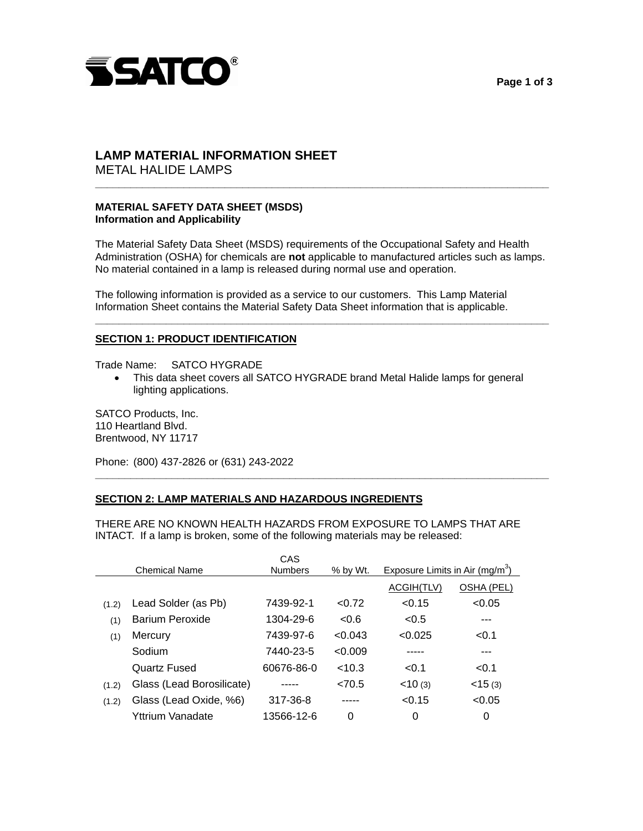



# **LAMP MATERIAL INFORMATION SHEET**

METAL HALIDE LAMPS

## **MATERIAL SAFETY DATA SHEET (MSDS) Information and Applicability**

 The Material Safety Data Sheet (MSDS) requirements of the Occupational Safety and Health Administration (OSHA) for chemicals are **not** applicable to manufactured articles such as lamps. No material contained in a lamp is released during normal use and operation.

**\_\_\_\_\_\_\_\_\_\_\_\_\_\_\_\_\_\_\_\_\_\_\_\_\_\_\_\_\_\_\_\_\_\_\_\_\_\_\_\_\_\_\_\_\_\_\_\_\_\_\_\_\_\_\_\_\_\_\_\_\_\_\_\_\_\_\_\_\_\_\_\_\_\_\_\_\_** 

**\_\_\_\_\_\_\_\_\_\_\_\_\_\_\_\_\_\_\_\_\_\_\_\_\_\_\_\_\_\_\_\_\_\_\_\_\_\_\_\_\_\_\_\_\_\_\_\_\_\_\_\_\_\_\_\_\_\_\_\_\_\_\_\_\_\_\_\_\_\_\_\_\_\_\_\_\_** 

 The following information is provided as a service to our customers. This Lamp Material Information Sheet contains the Material Safety Data Sheet information that is applicable.

## **SECTION 1: PRODUCT IDENTIFICATION**

Trade Name: SATCO HYGRADE

• This data sheet covers all SATCO HYGRADE brand Metal Halide lamps for general lighting applications.

**\_\_\_\_\_\_\_\_\_\_\_\_\_\_\_\_\_\_\_\_\_\_\_\_\_\_\_\_\_\_\_\_\_\_\_\_\_\_\_\_\_\_\_\_\_\_\_\_\_\_\_\_\_\_\_\_\_\_\_\_\_\_\_\_\_\_\_\_\_\_\_\_\_\_\_\_\_** 

 SATCO Products, Inc. 110 Heartland Blvd. Brentwood, NY 11717

Phone: (800) 437-2826 or (631) 243-2022

## **SECTION 2: LAMP MATERIALS AND HAZARDOUS INGREDIENTS**

 THERE ARE NO KNOWN HEALTH HAZARDS FROM EXPOSURE TO LAMPS THAT ARE INTACT. If a lamp is broken, some of the following materials may be released:

|       | <b>Chemical Name</b>      | CAS<br><b>Numbers</b> | % by Wt. | Exposure Limits in Air (mg/m <sup>3</sup> ) |              |
|-------|---------------------------|-----------------------|----------|---------------------------------------------|--------------|
|       |                           |                       |          | ACGIH(TLV)                                  | OSHA (PEL)   |
| (1.2) | Lead Solder (as Pb)       | 7439-92-1             | < 0.72   | < 0.15                                      | < 0.05       |
| (1)   | <b>Barium Peroxide</b>    | 1304-29-6             | < 0.6    | < 0.5                                       |              |
| (1)   | Mercury                   | 7439-97-6             | < 0.043  | < 0.025                                     | < 0.1        |
|       | Sodium                    | 7440-23-5             | < 0.009  |                                             |              |
|       | Quartz Fused              | 60676-86-0            | < 10.3   | < 0.1                                       | < 0.1        |
| (1.2) | Glass (Lead Borosilicate) |                       | <70.5    | < 10(3)                                     | $<$ 15 $(3)$ |
| (1.2) | Glass (Lead Oxide, %6)    | 317-36-8              |          | < 0.15                                      | < 0.05       |
|       | Yttrium Vanadate          | 13566-12-6            | 0        | 0                                           | 0            |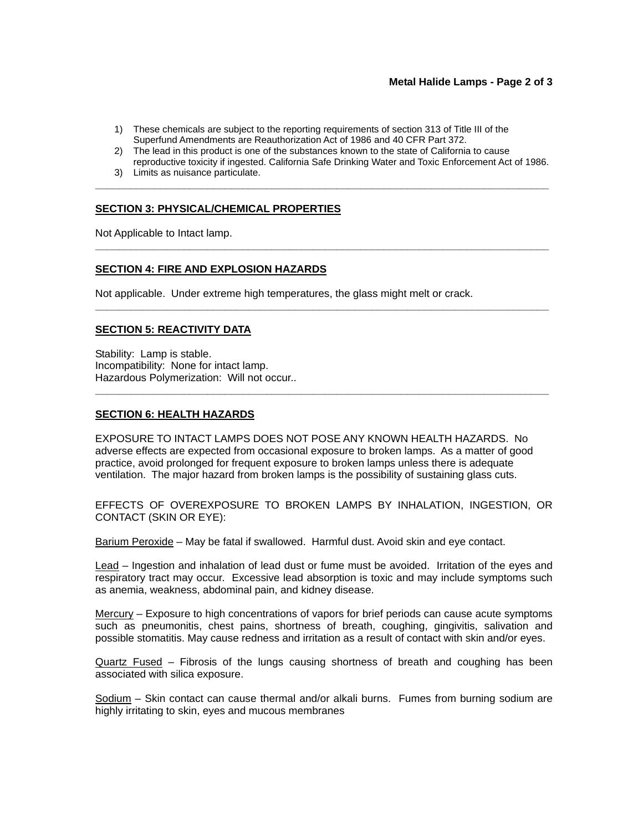## **Metal Halide Lamps - Page 2 of 3**

- 1) These chemicals are subject to the reporting requirements of section 313 of Title III of the Superfund Amendments are Reauthorization Act of 1986 and 40 CFR Part 372.
- 2) The lead in this product is one of the substances known to the state of California to cause reproductive toxicity if ingested. California Safe Drinking Water and Toxic Enforcement Act of 1986.

**\_\_\_\_\_\_\_\_\_\_\_\_\_\_\_\_\_\_\_\_\_\_\_\_\_\_\_\_\_\_\_\_\_\_\_\_\_\_\_\_\_\_\_\_\_\_\_\_\_\_\_\_\_\_\_\_\_\_\_\_\_\_\_\_\_\_\_\_\_\_\_\_\_\_\_\_\_** 

**\_\_\_\_\_\_\_\_\_\_\_\_\_\_\_\_\_\_\_\_\_\_\_\_\_\_\_\_\_\_\_\_\_\_\_\_\_\_\_\_\_\_\_\_\_\_\_\_\_\_\_\_\_\_\_\_\_\_\_\_\_\_\_\_\_\_\_\_\_\_\_\_\_\_\_\_\_** 

**\_\_\_\_\_\_\_\_\_\_\_\_\_\_\_\_\_\_\_\_\_\_\_\_\_\_\_\_\_\_\_\_\_\_\_\_\_\_\_\_\_\_\_\_\_\_\_\_\_\_\_\_\_\_\_\_\_\_\_\_\_\_\_\_\_\_\_\_\_\_\_\_\_\_\_\_\_** 

**\_\_\_\_\_\_\_\_\_\_\_\_\_\_\_\_\_\_\_\_\_\_\_\_\_\_\_\_\_\_\_\_\_\_\_\_\_\_\_\_\_\_\_\_\_\_\_\_\_\_\_\_\_\_\_\_\_\_\_\_\_\_\_\_\_\_\_\_\_\_\_\_\_\_\_\_\_** 

3) Limits as nuisance particulate.

#### **SECTION 3: PHYSICAL/CHEMICAL PROPERTIES**

Not Applicable to Intact lamp.

#### **SECTION 4: FIRE AND EXPLOSION HAZARDS**

Not applicable. Under extreme high temperatures, the glass might melt or crack.

#### **SECTION 5: REACTIVITY DATA**

 Stability: Lamp is stable. Incompatibility: None for intact lamp. Hazardous Polymerization: Will not occur..

#### **SECTION 6: HEALTH HAZARDS**

 EXPOSURE TO INTACT LAMPS DOES NOT POSE ANY KNOWN HEALTH HAZARDS. No adverse effects are expected from occasional exposure to broken lamps. As a matter of good practice, avoid prolonged for frequent exposure to broken lamps unless there is adequate ventilation. The major hazard from broken lamps is the possibility of sustaining glass cuts.

 EFFECTS OF OVEREXPOSURE TO BROKEN LAMPS BY INHALATION, INGESTION, OR CONTACT (SKIN OR EYE):

<u>Barium Peroxide</u> – May be fatal if swallowed. Harmful dust. Avoid skin and eye contact.

Lead – Ingestion and inhalation of lead dust or fume must be avoided. Irritation of the eyes and respiratory tract may occur. Excessive lead absorption is toxic and may include symptoms such as anemia, weakness, abdominal pain, and kidney disease.

 Mercury – Exposure to high concentrations of vapors for brief periods can cause acute symptoms such as pneumonitis, chest pains, shortness of breath, coughing, gingivitis, salivation and possible stomatitis. May cause redness and irritation as a result of contact with skin and/or eyes.

<u>Quartz Fused</u> – Fibrosis of the lungs causing shortness of breath and coughing has been associated with silica exposure.

Sodium – Skin contact can cause thermal and/or alkali burns. Fumes from burning sodium are highly irritating to skin, eyes and mucous membranes